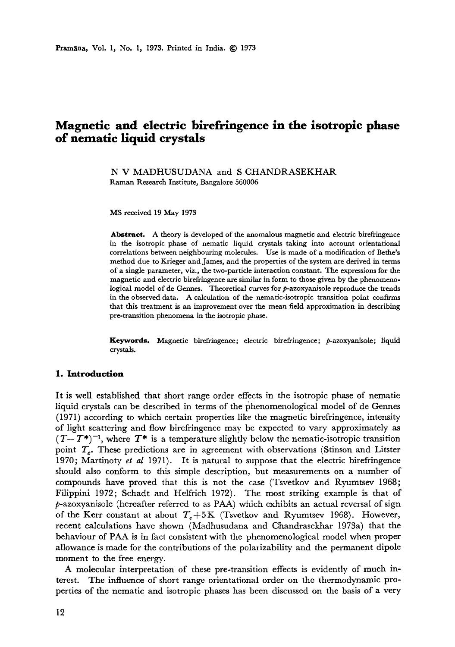# **Magnetic and electric birefringence in the isotropic phase of nematic liquid crystals**

N V MADHUSUDANA and S CHANDRASEKHAR Raman Research Institute, Bangalore 560006

MS received 19 May 1973

**Abstract.** A theory is developed of the anomalous magnetic and electric birefringence in the isotropic phase of nematic liquid crystals taking into account orientational correlations between neighbouring molecules. Use is made of a modification of Bethe's method due to Krieger and James, and the properties of the system are derived in **terms**  of a single parameter, viz., the two-particle interaction constant. The expressions for the magnetic and electric birefringence are similar in form to those given by the phenomenological model of de Gennes. Theoretical curves for p-azoxyanisole reproduce the trends in the observed data. A calculation of the nematic-isotropic transition point confirms that this treatment is an improvement over the mean field approximation in describing pre-transition phenomena in the isotropic phase.

**Keywords.** Magnetic birefringence; electric birefringence; p-azoxyanisole; liquid crystals.

## **1, Introduction**

It is well established that short range order effects in the isotropic phase of nemafie liquid crystals can be described in terms of the phenomenological model of de Gennes (1971) according to which certain properties like the magnetic birefringence, intensity of light scattering and flow birefringence may be expected to vary approximately as  $(T-T^*)^{-1}$ , where  $T^*$  is a temperature slightly below the nematic-isotropic transition point  $T_c$ . These predictions are in agreement with observations (Stinson and Litster 1970; Martinoty *et al* 1971). It is natural to suppose that the electric birefringence should also conform to this simple description, but measurements on a number of compounds have proved that this is not the case (Tsvetkov and Ryumtsev 1968; Filippini 1972; Schadt and Helfrich I972). The most striking example is that of p-azoxyanisole (hereafter referred to as PAA) which exhibits an actual reversal of sign of the Kerr constant at about  $T_c+5K$  (Tsvetkov and Ryumtsev 1968). However, recent calculations lmve shown (Madhusudana and Chandrasekhar 1973a) that the behaviour of PAA is in fact consistent with the phenomenological model when proper allowance is made for the contributions of the polmizability and the permanent dipole moment to the free energy.

A molecular interpretation of these pre-transition effects is evidently of much interest. The influence of short range orientational order on the thermodynamic properties of the nematic and isotropic phases has been discussed on the basis of a very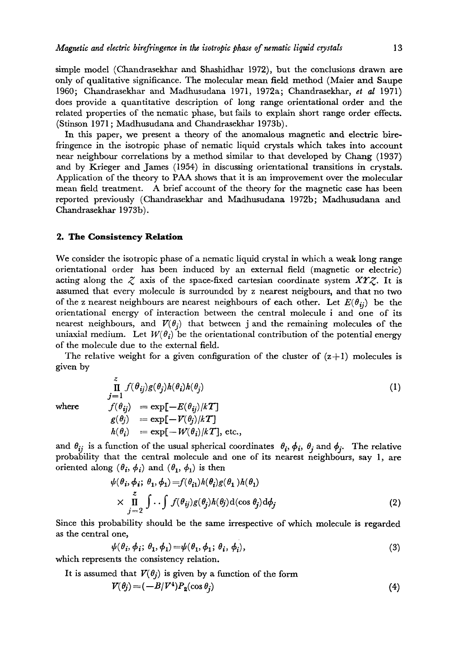simple model (Chandrasekhar and Shashidhar 1972), but the conclusions drawn are only of qualitative significance. The molecular mean field method (Maier and Saupe 1960; Chandrasekhar and Madkusudana 1971, 1972a; Chandrasekhar, *et al* 1971) does provide a quantitative description of long range orientational order and the related properties of the nematic phase, but fails to explain short range order effects. (Stinson 1971 ; Madhusudana and Chandrasekhar 1973b).

In this paper, we present a theory of the anomalous magnetic and electric birefringence in the isotropic phase of nematic liquid crystals which takes into account near neighbour correlations by a method similar to that developed by Chang (1937) and by Krieger and James (1954) in discussing orientational transitions in crystals. Application of the theory to PAA shows that it is an improvement over the molecular mean field treatment. A brief account of the theory for the magnetic case has been reported previously (Chandrasekhar and Madhusudana 1972b; Madhusudana and Chandrasekhar 1973b).

### **2. The Consistency Relation**

We consider the isotropic phase of a nematic liquid crystal in which a weak long range orientational order has been induced by an external field (magnetic or electric) acting along the  $\zeta$  axis of the space-fixed cartesian coordinate system XYZ. It is assumed that every molecule is surrounded by z nearest neigbours, and that no two of the z nearest neighbours are nearest neighbours of each other. Let  $E(\theta_{ij})$  be the orientational energy of interaction between the central molecule i and one of its nearest neighbours, and  $V(\theta_i)$  that between j and the remaining molecules of the uniaxial medium. Let  $W(\theta_i)$  be the orientational contribution of the potential energy of the molecule due to the external field.

The relative weight for a given configuration of the cluster of  $(z+1)$  molecules is given by

$$
\prod_{j=1}^{z} f(\theta_{ij})g(\theta_{j})h(\theta_{i})h(\theta_{j})
$$
\nwhere\n
$$
f(\theta_{ij}) = \exp[-E(\theta_{ij})/kT]
$$
\n
$$
g(\theta_{j}) = \exp[-V(\theta_{j})/kT]
$$
\n
$$
h(\theta_{i}) = \exp[-W(\theta_{i})/kT], \text{ etc.},
$$
\n(1)

and  $\theta_{ij}$  is a function of the usual spherical coordinates  $\theta_i$ ,  $\phi_i$ ,  $\theta_j$  and  $\phi_j$ . The relative probability that the central molecule and one of its nearest neighbours, say 1, are oriented along  $(\theta_i, \phi_i)$  and  $(\theta_1, \phi_1)$  is then

$$
\psi(\theta_i, \phi_i; \theta_1, \phi_1) = f(\theta_{i1})h(\theta_i)g(\theta_1)h(\theta_1)
$$
  
 
$$
\times \prod_{j=2}^{z} \int \cdot \cdot \int f(\theta_{ij})g(\theta_j)h(\theta_j) d(\cos \theta_j) d\phi_j
$$
 (2)

Since this probability should be the same irrespective of which molecule is regarded as the central one,

$$
\psi(\theta_i, \phi_i; \theta_1, \phi_1) = \psi(\theta_1, \phi_1; \theta_i, \phi_i), \qquad (3)
$$

which represents the consistency relation.

It is assumed that  $V(\theta_i)$  is given by a function of the form

$$
V(\theta_j) = (-B/V^4)P_2(\cos \theta_j) \tag{4}
$$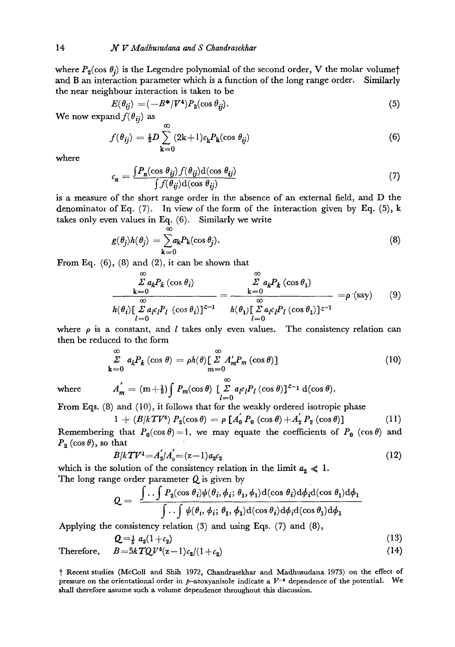where  $P_2(\cos \theta_i)$  is the Legendre polynomial of the second order, V the molar volume<sup>†</sup> and B an interaction parameter which is a function of the long range order. Similarly the near neighbour interaction is taken to be

$$
E(\theta_{ij}) = (-B^* / V^4) P_2(\cos \theta_{ij}).
$$
\n<sup>(5)</sup>

We now expand  $f(\theta_{ij})$  as

$$
f(\theta_{ij}) = \frac{1}{2}D \sum_{k=0}^{\infty} (2k+1)c_k P_k(\cos \theta_{ij})
$$
 (6)

where

$$
c_n = \frac{\int P_n(\cos \theta_{ij}) f(\theta_{ij}) d(\cos \theta_{ij})}{\int f(\theta_{ij}) d(\cos \theta_{ij})}
$$
(7)

is a measure of the short range order in the absence of an external field, and D the denominator of Eq. (7). In view of the form of the interaction given by Eq. (5), k takes only even values in Eq. (6). Similarly we write

$$
g(\theta_j)h(\theta_j) = \sum_{k=0}^{\infty} a_k P_k(\cos \theta_j).
$$
 (8)

From Eq.  $(6)$ ,  $(8)$  and  $(2)$ , it can be shown that

$$
\frac{\sum_{k=0}^{\infty} a_k P_k (\cos \theta_i)}{h(\theta_i) [\sum_{l=0}^{\infty} a_l c_l P_l (\cos \theta_i)]^{z-1}} = \frac{\sum_{k=0}^{\infty} a_k P_k (\cos \theta_1)}{h(\theta_1) [\sum_{l=0}^{\infty} a_l c_l P_l (\cos \theta_1)]^{z-1}} = \rho'(\text{say}) \qquad (9)
$$

where  $\rho$  is a constant, and *l* takes only even values. The consistency relation can then be reduced to the form

$$
\sum_{k=0}^{\infty} a_k P_k (\cos \theta) = \rho h(\theta) \left[ \sum_{m=0}^{\infty} A'_m P_m (\cos \theta) \right]
$$
 (10)

where 
$$
A'_m = (m + \frac{1}{2}) \int P_m(\cos \theta) \left[ \sum_{l=0}^{\infty} a_l c_l P_l(\cos \theta) \right]^{z-1} d(\cos \theta).
$$

From Eqs. (8) and (I0), it follows that for the weakly ordered isotropic phase

$$
1 + (B/kT V^4) P_2(\cos \theta) = \rho \left[ A_0 \ P_0 \left( \cos \theta \right) + A_2 \ P_2 \left( \cos \theta \right) \right] \tag{11}
$$

Remembering that  $P_0(\cos \theta) = 1$ , we may equate the coefficients of  $P_0$  (cos $\theta$ ) and  $P_2(\cos \theta)$ , so that

$$
B/kT V^4 = A_2/A_0' = (z-1)a_2c_2 \tag{12}
$$

which is the solution of the consistency relation in the limit  $a_2 \ll 1$ . The long range order parameter  $Q$  is given by

$$
Q = \frac{\int \int \int P_2(\cos \theta_i) \psi(\theta_i, \phi_i; \theta_1, \phi_1) d(\cos \theta_i) d\phi_i d(\cos \theta_1) d\phi_1}{\int \int \int \psi(\theta_i, \phi_i; \theta_1, \phi_1) d(\cos \theta_i) d\phi_i d(\cos \theta_1) d\phi_1}
$$

Applying the consistency relation (3) and using Eqs. (7) and (8),

$$
Q = \frac{1}{5} a_2 (1 + c_2) \tag{13}
$$

Therefore,  $B = 5kTQV^4(z-1)c_2/(1+c_2)$  (14)

I" Recent studies (MeColl and Shih 1972, Chandraseldaar and Madhusudana 1973) on the effect of pressure on the orientational order in p-azoxyanisole indicate a  $V^{-4}$  dependence of the potential. We shall therefore assume such a volume dependence throughout this discussion.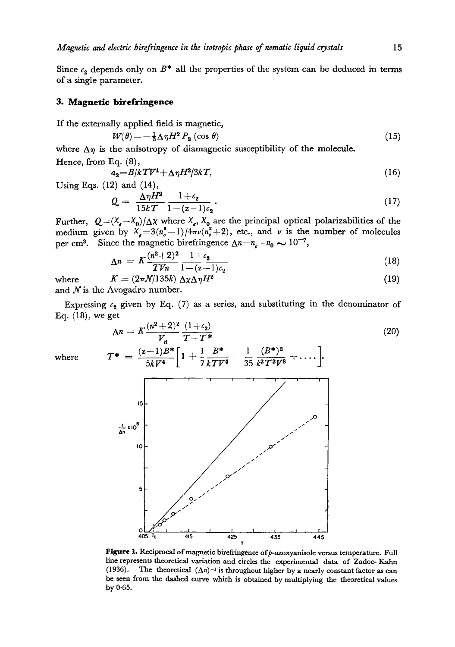Since  $c_2$  depends only on  $B^*$  all the properties of the system can be deduced in terms of a single parameter.

## **3. Magnetic birefringence**

If the externally applied field is magnetic,

$$
W(\theta) = -\frac{1}{3}\Delta\eta H^2 P_2\left(\cos\theta\right) \tag{15}
$$

where  $\Delta \eta$  is the anisotropy of diamagnetic susceptibility of the molecule.

Hence, from Eq. (8),  
\n
$$
a_2 = B/kT V^4 + \Delta \eta H^2/3kT,
$$
\n(16)

Using Eqs. (12) and (14),

$$
Q = \frac{\Delta \eta H^2}{15kT} \frac{1+c_2}{1-(z-1)c_2}.
$$
 (17)

Further,  $Q=(X_e-X_0)/\Delta X$  where  $X_e$ ,  $X_0$  are the principal optical polarizabilities of the medium given by  $\chi_e = 3(n_e^2-1)/4\pi\nu(n_e^2+2)$ , etc., and v is the number of molecules per cm<sup>3</sup>. Since the magnetic birefringence  $\Delta n = n_e - n_0 \sim 10^{-7}$ ,

$$
\Delta n = K \frac{(n^2+2)^2}{T V n} \frac{1+c_2}{1-(z-1)c_2} \tag{18}
$$

where 
$$
K = (2\pi N/135k) \Delta \chi \Delta \eta H^2
$$
 (19)

and  $N$  is the Avogadro number.

Expressing  $c_2$  given by Eq. (7) as a series, and substituting in the denominator of Eq. (18), we get

$$
\Delta n = K \frac{(n^{2}+2)^{2}}{V_{n}} \frac{(1+c_{2})}{T-T^{*}}
$$
\nwhere\n
$$
T^{*} = \frac{(z-1)B^{*}}{5kV^{4}} \left[1 + \frac{1}{7} \frac{B^{*}}{kTV^{4}} - \frac{1}{35} \frac{(B^{*})^{2}}{k^{2}T^{2}V^{8}} + \cdots \right]
$$
\n
$$
\sum_{\substack{\mathbf{a}^{*} \in \mathbb{R}^{5} \\ \mathbf{b}^{*} \neq \mathbf{b} \\ \mathbf{b}^{*} \neq \mathbf{b} \end{math} (20)
$$
\nwhere\n
$$
T^{*} = \frac{(z-1)B^{*}}{5kV^{4}} \left[1 + \frac{1}{7} \frac{B^{*}}{kTV^{4}} - \frac{1}{35} \frac{(B^{*})^{2}}{k^{2}T^{2}V^{8}} + \cdots \right]
$$
\n
$$
\sum_{\substack{\mathbf{b}^{*} \in \mathbb{R}^{5} \\ \mathbf{b}^{*} \neq \mathbf{b} \end{math} (20)
$$

Figure 1. Reciprocal of magnetic birefringence of  $p$ -azoxyanisole versus temperature. Full line represents theoretical variation and circles the experimental data of Zadoe- Kalm (1936). The theoretical  $(\Delta n)^{-1}$  is throughout higher by a nearly constant factor as can be seen from the dashed curve which is obtained by multiplying the theoretical values by 0.65.

0 X"u ~ t f I I f I I 405 TC 4JS 425 435 445 T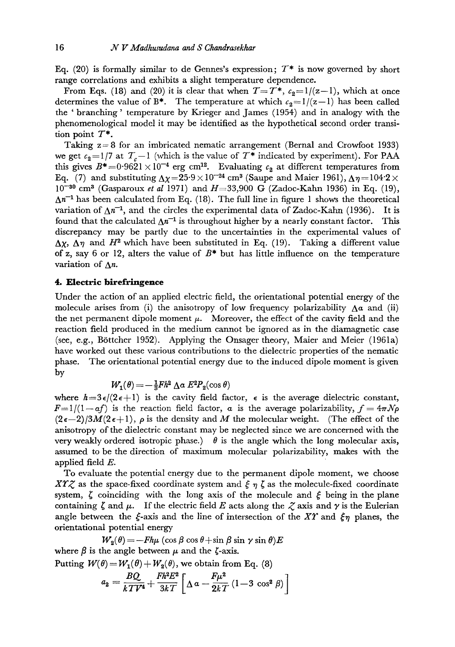Eq. (20) is formally similar to de Gennes's expression;  $T^*$  is now governed by short range correlations and exhibits a slight temperature dependence.

From Eqs. (18) and (20) it is clear that when  $T=T^*$ ,  $c_2=1/(z-1)$ , which at once determines the value of B<sup>\*</sup>. The temperature at which  $c_2=1/(z-1)$  has been called the ' branching' temperature by Krieger and James (1954) and in analogy with the phenomenological model it may be identified as the hypothetical second order transition point  $T^*$ .

Taking  $z = 8$  for an imbricated nematic arrangement (Bernal and Crowfoot 1933) we get  $c_2 = 1/7$  at  $T_c - 1$  (which is the value of  $T^*$  indicated by experiment). For PAA this gives  $B^* = 0.9621 \times 10^{-4}$  erg cm<sup>12</sup>. Evaluating  $c_2$  at different temperatures from Eq. (7) and substituting  $\Delta \chi = 25.9 \times 10^{-24}$  cm<sup>3</sup> (Saupe and Maier 1961),  $\Delta \eta = 104.2 \times$  $10^{-30}$  cm<sup>3</sup> (Gasparoux *et al* 1971) and  $H=33,900$  G (Zadoc-Kahn 1936) in Eq. (19),  $\Delta n^{-1}$  has been calculated from Eq. (18). The full line in figure 1 shows the theoretical variation of  $\Delta n^{-1}$ , and the circles the experimental data of Zadoc-Kahn (1936). It is found that the calculated  $\Delta n^{-1}$  is throughout higher by a nearly constant factor. This discrepancy may be partly due to the uncertainties in the experimental values of  $\Delta$ x,  $\Delta$ <sub>7</sub> and  $H^2$  which have been substituted in Eq. (19). Taking a different value of z, say 6 or 12, alters the value of  $B^*$  but has little influence on the temperature variation of  $\Lambda$ n.

## **4. Electric birefringenee**

Under the action of an applied electric field, the orientational potential energy of the molecule arises from (i) the anisotropy of low frequency polarizability  $\Delta \alpha$  and (ii) the net permanent dipole moment  $\mu$ . Moreover, the effect of the cavity field and the reaction field produced in the medium cannot be ignored as in the diamagnetic case (see, e.g., B6ttcher 1952). Applying the Onsager theory, Maier and Meier (1961a) have worked out these various contributions to the dielectric properties of the nematic phase. The orientational potential energy due to the induced dipole moment is given by

$$
W_1(\theta) = -\frac{1}{3}Fh^2 \, \Delta a \, E^2 P_2(\cos \theta)
$$

where  $h=3\epsilon/(2\epsilon+1)$  is the cavity field factor,  $\epsilon$  is the average dielectric constant,  $F=1/(1-af)$  is the reaction field factor, a is the average polarizability,  $f=4\pi N\rho$  $(2\epsilon-2)/3M(2\epsilon+1)$ ,  $\rho$  is the density and M the molecular weight. (The effect of the anisotropy of the dielectric constant may be neglected since we are concerned with the very weakly ordered isotropic phase.)  $\theta$  is the angle which the long molecular axis, assumed to be the direction of maximum molecular polarizability, makes with the applied field  $E$ .

To evaluate the potential energy due to the permanent dipole moment, we choose XTZ as the space-fixed coordinate system and  $\xi \eta \zeta$  as the molecule-fixed coordinate system,  $\zeta$  coinciding with the long axis of the molecule and  $\xi$  being in the plane containing  $\zeta$  and  $\mu$ . If the electric field E acts along the  $\zeta$  axis and  $\gamma$  is the Eulerian angle between the  $\xi$ -axis and the line of intersection of the XY and  $\xi_{\eta}$  planes, the orientafional potential energy

 $W_2(\theta) = -Fh\mu(\cos\beta\cos\theta+\sin\beta\sin\gamma\sin\theta)E$ where  $\beta$  is the angle between  $\mu$  and the  $\zeta$ -axis. Putting  $W(\theta) = W_1(\theta) + W_2(\theta)$ , we obtain from Eq. (8)

$$
a_2 = \frac{BQ}{kTV^4} + \frac{Fh^2 E^2}{3kT} \left[ \Delta a - \frac{F\mu^2}{2kT} (1 - 3 \cos^2 \beta) \right]
$$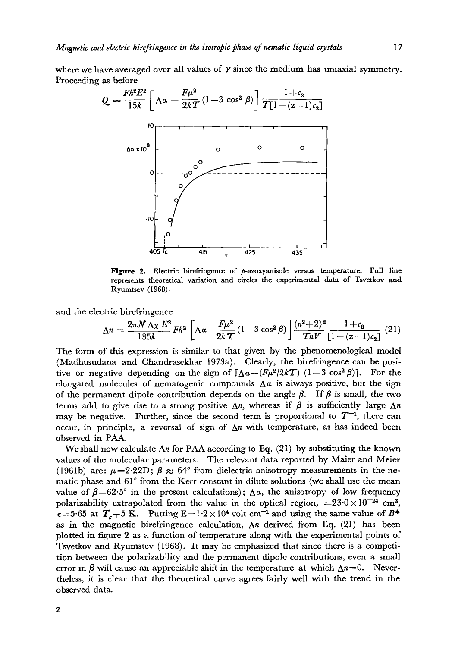where we have averaged over all values of  $\gamma$  since the medium has uniaxial symmetry. Proceeding as before



Figure 2. Electric birefringence of  $p$ -azoxyanisole versus temperature. Full line represents theoretical variation and circles the experimental data of Tsvetkov and Ryumtsev (1968).

and the electric birefringence

$$
\Delta n = \frac{2\pi N \Delta \chi E^2}{135k} Fh^2 \left[ \Delta a - \frac{F\mu^2}{2kT} (1 - 3\cos^2\beta) \right] \frac{(n^2 + 2)^2}{TnV} \frac{1 + c_2}{[1 - (z - 1)c_2]} (21)
$$

The form of this expression is similar to that given by the phenomenological model (Madhusudana and Chandrasekhar 1973a). Clearly, the birefringence can be positive or negative depending on the sign of  $\left[\Delta a - (F\mu^2/2kT)\right]$  (1-3 cos<sup>2</sup>  $\beta$ ). For the elongated molecules of nematogenic compounds  $\Delta \alpha$  is always positive, but the sign of the permanent dipole contribution depends on the angle  $\beta$ . If  $\beta$  is small, the two terms add to give rise to a strong positive  $\Delta n$ , whereas if  $\beta$  is sufficiently large  $\Delta n$ may be negative. Further, since the second term is proportional to  $T^{-1}$ , there can occur, in principle, a reversal of sign of  $\Delta n$  with temperature, as has indeed been observed in PAA.

We shall now calculate  $\Delta n$  for PAA according to Eq. (21) by substituting the known values of the molecular parameters. The relevant data reported by Maier and Meier (1961b) are:  $\mu = 2.22D$ ;  $\beta \approx 64^{\circ}$  from dielectric anisotropy measurements in the nematic phase and  $61^\circ$  from the Kerr constant in dilute solutions (we shall use the mean value of  $\beta = 62.5^\circ$  in the present calculations);  $\Delta \alpha$ , the anisotropy of low frequency polarizability extrapolated from the value in the optical region,  $=23.0 \times 10^{-24}$  cm<sup>3</sup>,  $\epsilon = 5.65$  at  $T_c + 5$  K. Putting  $E = 1.2 \times 10^4$  volt cm<sup>-1</sup> and using the same value of B\* as in the magnetic birefringence calculation,  $\Delta n$  derived from Eq. (21) has been plotted in figure 2 as a function of temperature along with the experimental points of Tsvetkov and Ryumstev (1968). It may be emphasized that since there is a competition between the polarizability and the permanent dipole contributions, even a small error in  $\beta$  will cause an appreciable shift in the temperature at which  $\Delta n=0$ . Nevertheless, it is clear that the theoretical curve agrees fairly well with the trend in the observed data.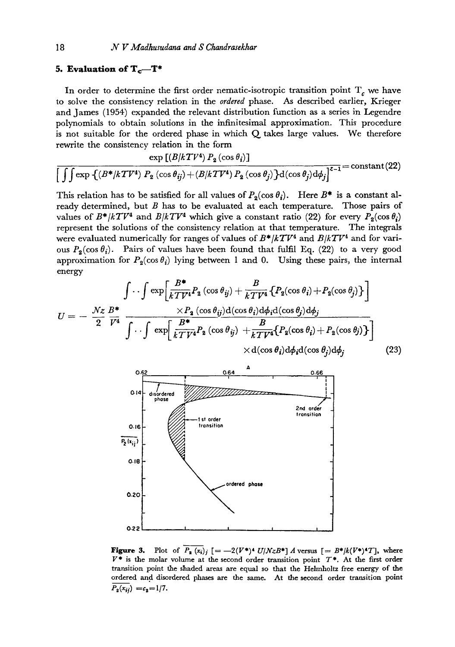### **5. Evaluation of**  $T_c$ **—T\***

In order to determine the first order nematic-isotropic transition point  $T_c$  we have to solve the consistency relation in the *ordered* phase. As described earlier, Krieger and James (1954) expanded the relevant distribution function as a series in Legendre polynomials to obtain solutions in the infinitesimal approximation. This procedure is not suitable for the ordered phase in which  $Q$  takes large values. We therefore rewrite the consistency relation in the form

$$
\frac{\exp\left[(B/kTV^4) P_2(\cos\theta_i)\right]}{\left[\int\int \exp\left\{\left(B^*/kTV^4\right) P_2(\cos\theta_{ij}) + \left(B/kTV^4\right) P_2(\cos\theta_j)\right\} d(\cos\theta_j) d\phi_j\right]^{z-1}} = \text{constant}\tag{22}
$$

This relation has to be satisfied for all values of  $P_2(\cos \theta_i)$ . Here  $B^*$  is a constant already determined, but  $B$  has to be evaluated at each temperature. Those pairs of values of  $B^* / kT V^4$  and  $B / kT V^4$  which give a constant ratio (22) for every  $P_2(\cos \theta_i)$ represent the solutions of the consistency relation at that temperature. The integrals were evaluated numerically for ranges of values of  $B^* / kT V^4$  and  $B / kT V^4$  and for various  $P_2(\cos \theta_i)$ . Pairs of values have been found that fulfil Eq. (22) to a very good approximation for  $P_2(\cos \theta_i)$  lying between 1 and 0. Using these pairs, the internal energy

$$
U = -\frac{Nz}{2} \frac{B^*}{V^4} \frac{\int \cdots \int \exp\left[\frac{B^*}{kTV^4} P_2(\cos\theta_{ij}) + \frac{B}{kTV^4} \{P_2(\cos\theta_{i}) + P_2(\cos\theta_{j})\}\right]}{\int \cdots \int \exp\left[\frac{B^*}{kTV^4} P_2(\cos\theta_{ij}) d\phi_i d(\cos\theta_{j}) d\phi_j - \frac{B}{kTV^4} \{P_2(\cos\theta_{i}) + P_2(\cos\theta_{j})\}\right]} \times d(\cos\theta_{i}) d\phi_i d(\cos\theta_{j}) d\phi_j
$$
(23)



**Figure 3.** Plot of  $\overline{P_{\bf{a}}(x_i)}_i$   $[=-2(V^*)^4 U/NzB^*]A$  versus  $[=B^*]/(V^*)^4T]$ , where  $V^*$  is the molar volume at the second order transition point  $T^*$ . At the first order transition point the shaded areas are equal so that the Helmholtz free energy of the ordered and disordered phases are the same. At the second order transition point  $P_2(x_{ij}) = c_2 = 1/7.$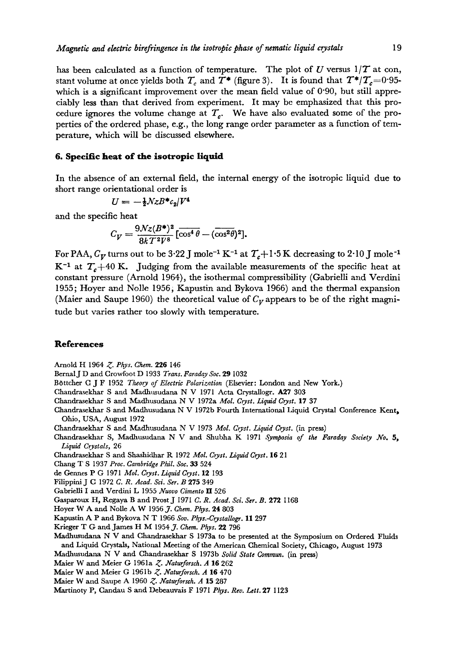has been calculated as a function of temperature. The plot of U versus  $1/T$  at con, stant volume at once yields both  $T_c$  and  $T^*$  (figure 3). It is found that  $T^*/T_c=0.95$ which is a significant improvement over the mean field value of 0.90, but still appreciably less than that derived from experiment. It may be emphasized that this procedure ignores the volume change at  $T_c$ . We have also evaluated some of the properties of the ordered phase, e.g., the long range order parameter as a function of temperature, which will be discussed elsewhere.

## **6. Specific heat of the isotropic Hquld**

In the absence of an external field, the internal energy of the isotropic liquid due to short range orientational order is

$$
U = -\frac{1}{2}NzB^*c_2/V^4
$$

and the specific heat

$$
C_V = \frac{9\mathcal{N}z(B^*)^2}{8kT^2V^8} \left[\overline{\cos^4\theta} - (\overline{\cos^2\theta})^2\right].
$$

For PAA,  $C_V$  turns out to be 3.22 J mole<sup>-1</sup> K<sup>-1</sup> at  $T_c+1.5$  K decreasing to 2.10 J mole<sup>-1</sup>  $K^{-1}$  at  $T_c+40$  K. Judging from the available measurements of the specific heat at constant pressure (Arnold 1964), the isothermal compressibility (Gabrielli and Verdini 1955; Hoyer and Nolle 1956, Kapustin and Bykova 1966) and the thermal expansion (Maier and Saupe 1960) the theoretical value of  $C_V$  appears to be of the right magnitude but varies rather too slowly with temperature.

### **References**

Arnold I-I 1964 *Z. Phys. Chem.* 226 146

BernalJ D and Crowfoot 13 1933 *Trans. Faraday Soc.* 29 1032

B6ttcher O J F 1952 *Theory of Electric Polarization* (Elsevier: London and New York.)

Chandrasekhar S and Madhusudana N V 1971 Acta Crystallogr. A27 303

Chandrasek\_har S and Madhusudana N V 1972a *Mol. Gryst. Liquid Gryst.* 17 37

Chandrasekhar S and Madhusudana N V 1972b Fourth International Liquid Crystal Conference Kent~ Ohio, USA, August 1972

Chandrasekhax S and Madhusudana N V 1973 *MoL Cryst. Liquid Cryst.* (in press)

Chandrasekhar S, Madhusudana N V and Shubha K 1971 *Symposia of the Faraday Society No. 5, Liquid Crystals,* 26

Chandrasekhar S and Shashidhar R 1972 *MoL Gryst. LiquidGryst.* 16 21

Chang T S 1937 *Proc. Cambridge Phil. Soc.* 33 524

de Gennes P G 1971 *Mol. Gryst. LiquidGryst.* 12 193

Filippini J G 1972 *C. R. Acad. Sd. Ser. B* 275 349

Gabrielli I and Verdini L 1955 *Aruovo Gimento II* 526

Gasparoux H, Regaya B and Prost J i97i *G. R. Acad. Scl. Set. B.* 272 I168

Hoyer W A and Nolle A W 1956 *J. Chem. Phys.* 24 803

Kapustin A P and Bykova N T 1966 *Sov. Phys.-Crystallogr.* 11 297

Krieger T G and James H M 1954 J. *Chem. Phys.* 22 796

Madhusudana N V and Chandraseldaar S 1973a to be presented at the Symposium on Ordered Fluids and Liquid Crystals, National Meeting of the American Chemical Society, Chicago, August 1973

Madhusudana N V and Chandrasekhar S 1973b *Solid State Commun.* (in press)

Maier W and Meier G 1961a *Z. Naturforsch. A* 16 262

Maier W and Meier G 1961b *Z. Naturforsch. A* 16 470

Maier W and Saupe A 1960 *Z. Araturforseh. A* 15 287

Martinoty P, Candau S and Debeauvais F 1971 *Phys. Rev. Lett.* 27 1123